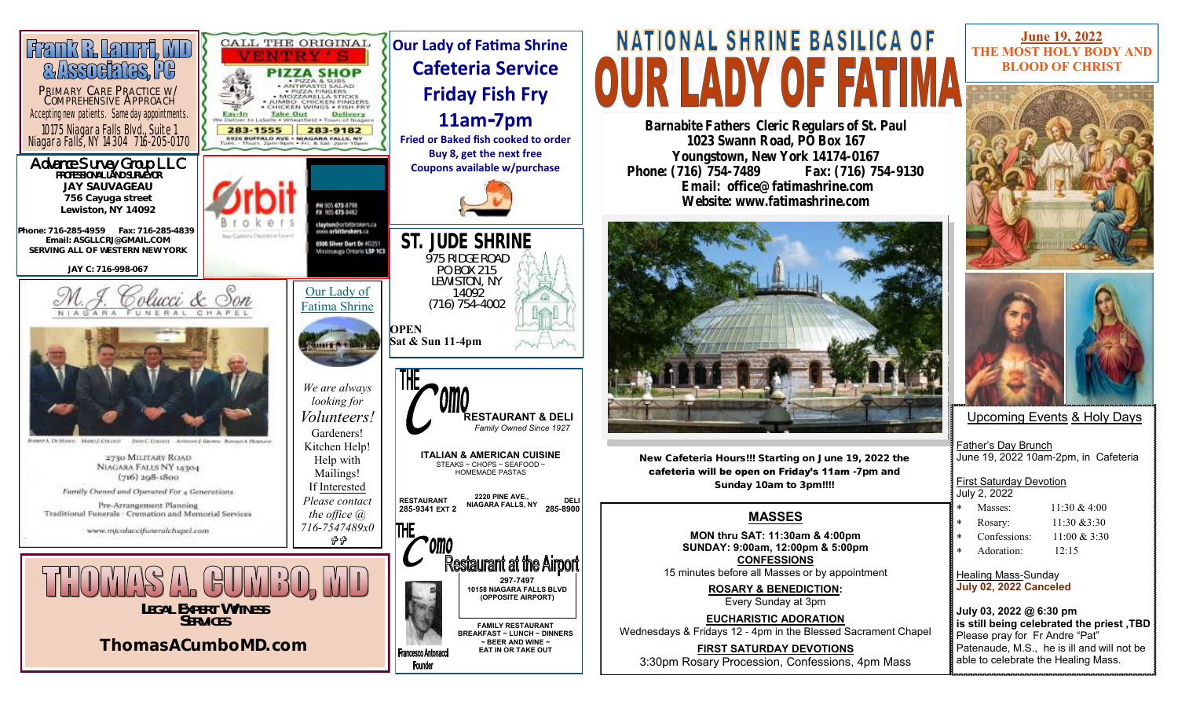